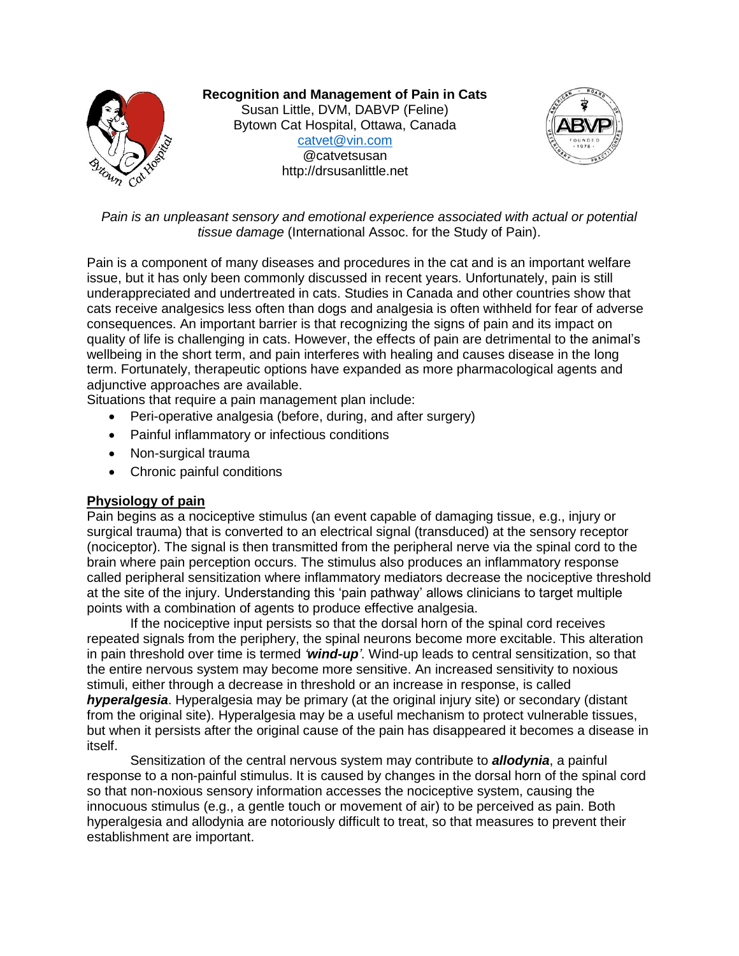

**Recognition and Management of Pain in Cats** Susan Little, DVM, DABVP (Feline) Bytown Cat Hospital, Ottawa, Canada [catvet@vin.com](mailto:catvet@vin.com) @catvetsusan http://drsusanlittle.net



*Pain is an unpleasant sensory and emotional experience associated with actual or potential tissue damage* (International Assoc. for the Study of Pain).

Pain is a component of many diseases and procedures in the cat and is an important welfare issue, but it has only been commonly discussed in recent years. Unfortunately, pain is still underappreciated and undertreated in cats. Studies in Canada and other countries show that cats receive analgesics less often than dogs and analgesia is often withheld for fear of adverse consequences. An important barrier is that recognizing the signs of pain and its impact on quality of life is challenging in cats. However, the effects of pain are detrimental to the animal's wellbeing in the short term, and pain interferes with healing and causes disease in the long term. Fortunately, therapeutic options have expanded as more pharmacological agents and adjunctive approaches are available.

Situations that require a pain management plan include:

- Peri-operative analgesia (before, during, and after surgery)
- Painful inflammatory or infectious conditions
- Non-surgical trauma
- Chronic painful conditions

## **Physiology of pain**

Pain begins as a nociceptive stimulus (an event capable of damaging tissue, e.g., injury or surgical trauma) that is converted to an electrical signal (transduced) at the sensory receptor (nociceptor). The signal is then transmitted from the peripheral nerve via the spinal cord to the brain where pain perception occurs. The stimulus also produces an inflammatory response called peripheral sensitization where inflammatory mediators decrease the nociceptive threshold at the site of the injury. Understanding this 'pain pathway' allows clinicians to target multiple points with a combination of agents to produce effective analgesia.

If the nociceptive input persists so that the dorsal horn of the spinal cord receives repeated signals from the periphery, the spinal neurons become more excitable. This alteration in pain threshold over time is termed *'wind-up'*. Wind-up leads to central sensitization, so that the entire nervous system may become more sensitive. An increased sensitivity to noxious stimuli, either through a decrease in threshold or an increase in response, is called *hyperalgesia*. Hyperalgesia may be primary (at the original injury site) or secondary (distant from the original site). Hyperalgesia may be a useful mechanism to protect vulnerable tissues, but when it persists after the original cause of the pain has disappeared it becomes a disease in itself.

Sensitization of the central nervous system may contribute to *allodynia*, a painful response to a non-painful stimulus. It is caused by changes in the dorsal horn of the spinal cord so that non-noxious sensory information accesses the nociceptive system, causing the innocuous stimulus (e.g., a gentle touch or movement of air) to be perceived as pain. Both hyperalgesia and allodynia are notoriously difficult to treat, so that measures to prevent their establishment are important.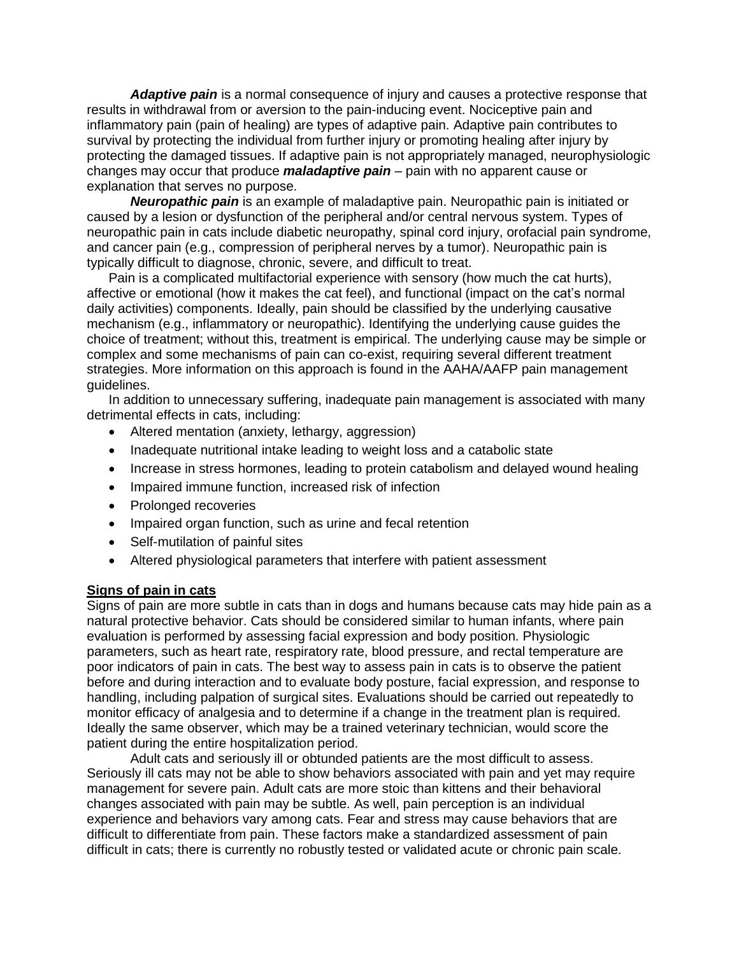*Adaptive pain* is a normal consequence of injury and causes a protective response that results in withdrawal from or aversion to the pain-inducing event. Nociceptive pain and inflammatory pain (pain of healing) are types of adaptive pain. Adaptive pain contributes to survival by protecting the individual from further injury or promoting healing after injury by protecting the damaged tissues. If adaptive pain is not appropriately managed, neurophysiologic changes may occur that produce *maladaptive pain* – pain with no apparent cause or explanation that serves no purpose.

*Neuropathic pain* is an example of maladaptive pain. Neuropathic pain is initiated or caused by a lesion or dysfunction of the peripheral and/or central nervous system. Types of neuropathic pain in cats include diabetic neuropathy, spinal cord injury, orofacial pain syndrome, and cancer pain (e.g., compression of peripheral nerves by a tumor). Neuropathic pain is typically difficult to diagnose, chronic, severe, and difficult to treat.

Pain is a complicated multifactorial experience with sensory (how much the cat hurts), affective or emotional (how it makes the cat feel), and functional (impact on the cat's normal daily activities) components. Ideally, pain should be classified by the underlying causative mechanism (e.g., inflammatory or neuropathic). Identifying the underlying cause guides the choice of treatment; without this, treatment is empirical. The underlying cause may be simple or complex and some mechanisms of pain can co-exist, requiring several different treatment strategies. More information on this approach is found in the AAHA/AAFP pain management guidelines.

In addition to unnecessary suffering, inadequate pain management is associated with many detrimental effects in cats, including:

- Altered mentation (anxiety, lethargy, aggression)
- Inadequate nutritional intake leading to weight loss and a catabolic state
- Increase in stress hormones, leading to protein catabolism and delayed wound healing
- Impaired immune function, increased risk of infection
- Prolonged recoveries
- Impaired organ function, such as urine and fecal retention
- Self-mutilation of painful sites
- Altered physiological parameters that interfere with patient assessment

### **Signs of pain in cats**

Signs of pain are more subtle in cats than in dogs and humans because cats may hide pain as a natural protective behavior. Cats should be considered similar to human infants, where pain evaluation is performed by assessing facial expression and body position. Physiologic parameters, such as heart rate, respiratory rate, blood pressure, and rectal temperature are poor indicators of pain in cats. The best way to assess pain in cats is to observe the patient before and during interaction and to evaluate body posture, facial expression, and response to handling, including palpation of surgical sites. Evaluations should be carried out repeatedly to monitor efficacy of analgesia and to determine if a change in the treatment plan is required. Ideally the same observer, which may be a trained veterinary technician, would score the patient during the entire hospitalization period.

Adult cats and seriously ill or obtunded patients are the most difficult to assess. Seriously ill cats may not be able to show behaviors associated with pain and yet may require management for severe pain. Adult cats are more stoic than kittens and their behavioral changes associated with pain may be subtle. As well, pain perception is an individual experience and behaviors vary among cats. Fear and stress may cause behaviors that are difficult to differentiate from pain. These factors make a standardized assessment of pain difficult in cats; there is currently no robustly tested or validated acute or chronic pain scale.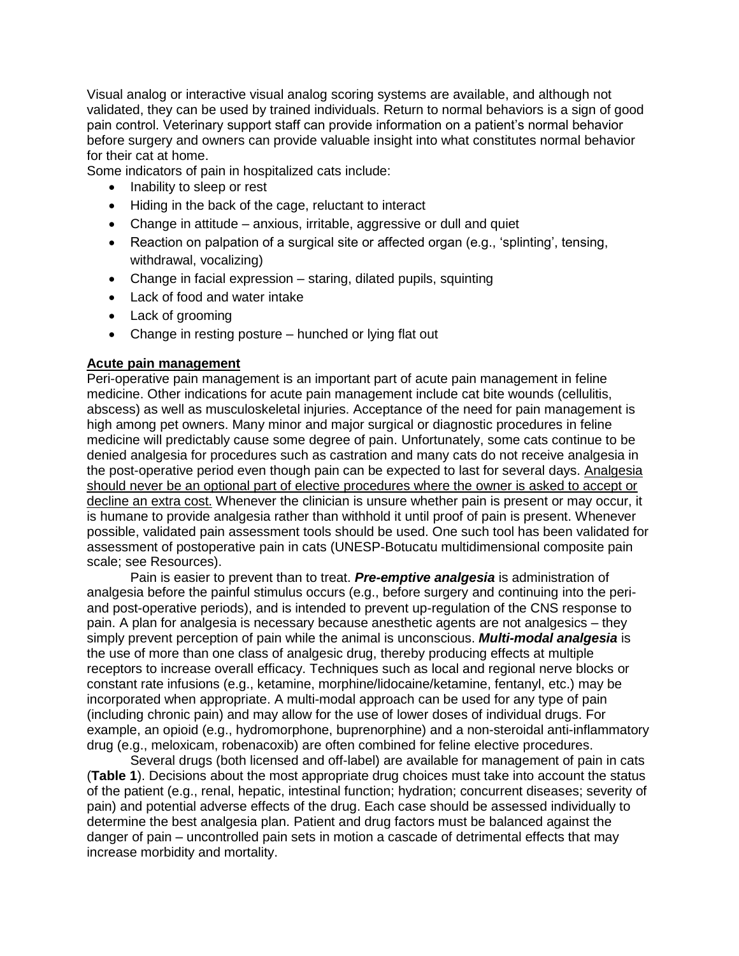Visual analog or interactive visual analog scoring systems are available, and although not validated, they can be used by trained individuals. Return to normal behaviors is a sign of good pain control. Veterinary support staff can provide information on a patient's normal behavior before surgery and owners can provide valuable insight into what constitutes normal behavior for their cat at home.

Some indicators of pain in hospitalized cats include:

- Inability to sleep or rest
- Hiding in the back of the cage, reluctant to interact
- Change in attitude anxious, irritable, aggressive or dull and quiet
- Reaction on palpation of a surgical site or affected organ (e.g., 'splinting', tensing, withdrawal, vocalizing)
- Change in facial expression staring, dilated pupils, squinting
- Lack of food and water intake
- Lack of grooming
- Change in resting posture hunched or lying flat out

## **Acute pain management**

Peri-operative pain management is an important part of acute pain management in feline medicine. Other indications for acute pain management include cat bite wounds (cellulitis, abscess) as well as musculoskeletal injuries. Acceptance of the need for pain management is high among pet owners. Many minor and major surgical or diagnostic procedures in feline medicine will predictably cause some degree of pain. Unfortunately, some cats continue to be denied analgesia for procedures such as castration and many cats do not receive analgesia in the post-operative period even though pain can be expected to last for several days. Analgesia should never be an optional part of elective procedures where the owner is asked to accept or decline an extra cost. Whenever the clinician is unsure whether pain is present or may occur, it is humane to provide analgesia rather than withhold it until proof of pain is present. Whenever possible, validated pain assessment tools should be used. One such tool has been validated for assessment of postoperative pain in cats (UNESP-Botucatu multidimensional composite pain scale; see Resources).

Pain is easier to prevent than to treat. *Pre-emptive analgesia* is administration of analgesia before the painful stimulus occurs (e.g., before surgery and continuing into the periand post-operative periods), and is intended to prevent up-regulation of the CNS response to pain. A plan for analgesia is necessary because anesthetic agents are not analgesics – they simply prevent perception of pain while the animal is unconscious. *Multi-modal analgesia* is the use of more than one class of analgesic drug, thereby producing effects at multiple receptors to increase overall efficacy. Techniques such as local and regional nerve blocks or constant rate infusions (e.g., ketamine, morphine/lidocaine/ketamine, fentanyl, etc.) may be incorporated when appropriate. A multi-modal approach can be used for any type of pain (including chronic pain) and may allow for the use of lower doses of individual drugs. For example, an opioid (e.g., hydromorphone, buprenorphine) and a non-steroidal anti-inflammatory drug (e.g., meloxicam, robenacoxib) are often combined for feline elective procedures.

Several drugs (both licensed and off-label) are available for management of pain in cats (**Table 1**). Decisions about the most appropriate drug choices must take into account the status of the patient (e.g., renal, hepatic, intestinal function; hydration; concurrent diseases; severity of pain) and potential adverse effects of the drug. Each case should be assessed individually to determine the best analgesia plan. Patient and drug factors must be balanced against the danger of pain – uncontrolled pain sets in motion a cascade of detrimental effects that may increase morbidity and mortality.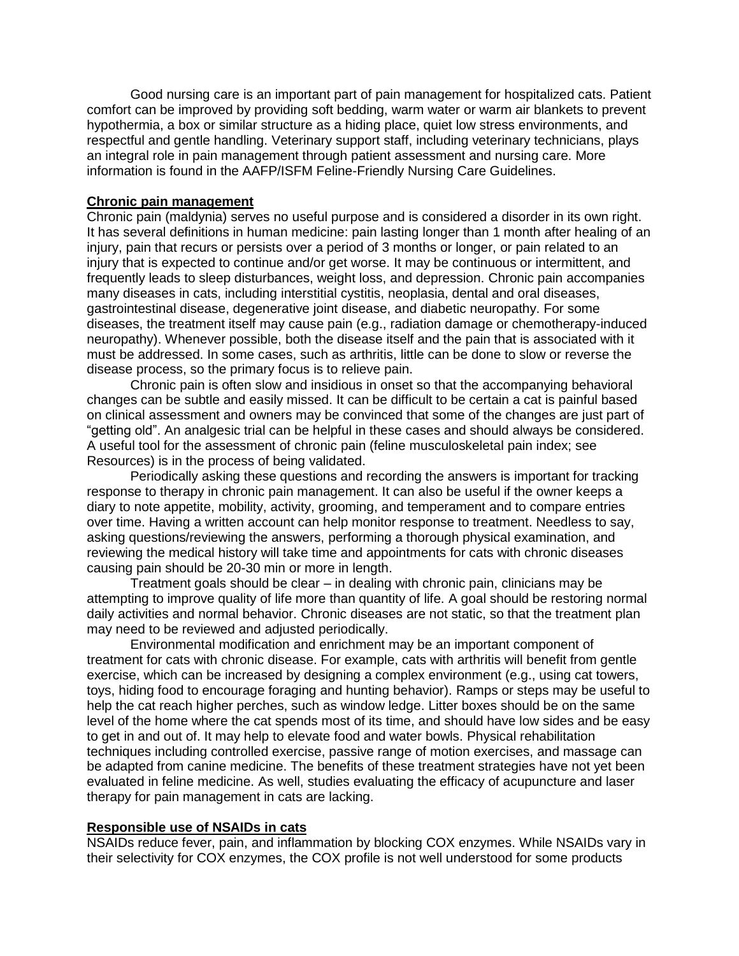Good nursing care is an important part of pain management for hospitalized cats. Patient comfort can be improved by providing soft bedding, warm water or warm air blankets to prevent hypothermia, a box or similar structure as a hiding place, quiet low stress environments, and respectful and gentle handling. Veterinary support staff, including veterinary technicians, plays an integral role in pain management through patient assessment and nursing care. More information is found in the AAFP/ISFM Feline-Friendly Nursing Care Guidelines.

### **Chronic pain management**

Chronic pain (maldynia) serves no useful purpose and is considered a disorder in its own right. It has several definitions in human medicine: pain lasting longer than 1 month after healing of an injury, pain that recurs or persists over a period of 3 months or longer, or pain related to an injury that is expected to continue and/or get worse. It may be continuous or intermittent, and frequently leads to sleep disturbances, weight loss, and depression. Chronic pain accompanies many diseases in cats, including interstitial cystitis, neoplasia, dental and oral diseases, gastrointestinal disease, degenerative joint disease, and diabetic neuropathy. For some diseases, the treatment itself may cause pain (e.g., radiation damage or chemotherapy-induced neuropathy). Whenever possible, both the disease itself and the pain that is associated with it must be addressed. In some cases, such as arthritis, little can be done to slow or reverse the disease process, so the primary focus is to relieve pain.

Chronic pain is often slow and insidious in onset so that the accompanying behavioral changes can be subtle and easily missed. It can be difficult to be certain a cat is painful based on clinical assessment and owners may be convinced that some of the changes are just part of "getting old". An analgesic trial can be helpful in these cases and should always be considered. A useful tool for the assessment of chronic pain (feline musculoskeletal pain index; see Resources) is in the process of being validated.

Periodically asking these questions and recording the answers is important for tracking response to therapy in chronic pain management. It can also be useful if the owner keeps a diary to note appetite, mobility, activity, grooming, and temperament and to compare entries over time. Having a written account can help monitor response to treatment. Needless to say, asking questions/reviewing the answers, performing a thorough physical examination, and reviewing the medical history will take time and appointments for cats with chronic diseases causing pain should be 20-30 min or more in length.

Treatment goals should be clear – in dealing with chronic pain, clinicians may be attempting to improve quality of life more than quantity of life. A goal should be restoring normal daily activities and normal behavior. Chronic diseases are not static, so that the treatment plan may need to be reviewed and adjusted periodically.

Environmental modification and enrichment may be an important component of treatment for cats with chronic disease. For example, cats with arthritis will benefit from gentle exercise, which can be increased by designing a complex environment (e.g., using cat towers, toys, hiding food to encourage foraging and hunting behavior). Ramps or steps may be useful to help the cat reach higher perches, such as window ledge. Litter boxes should be on the same level of the home where the cat spends most of its time, and should have low sides and be easy to get in and out of. It may help to elevate food and water bowls. Physical rehabilitation techniques including controlled exercise, passive range of motion exercises, and massage can be adapted from canine medicine. The benefits of these treatment strategies have not yet been evaluated in feline medicine. As well, studies evaluating the efficacy of acupuncture and laser therapy for pain management in cats are lacking.

#### **Responsible use of NSAIDs in cats**

NSAIDs reduce fever, pain, and inflammation by blocking COX enzymes. While NSAIDs vary in their selectivity for COX enzymes, the COX profile is not well understood for some products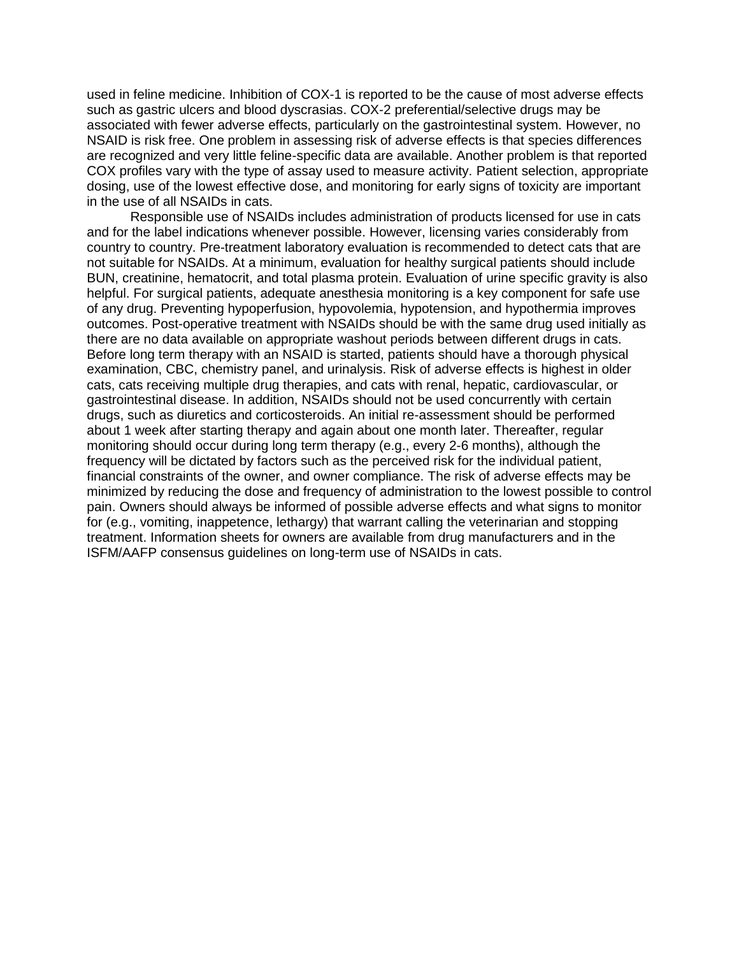used in feline medicine. Inhibition of COX-1 is reported to be the cause of most adverse effects such as gastric ulcers and blood dyscrasias. COX-2 preferential/selective drugs may be associated with fewer adverse effects, particularly on the gastrointestinal system. However, no NSAID is risk free. One problem in assessing risk of adverse effects is that species differences are recognized and very little feline-specific data are available. Another problem is that reported COX profiles vary with the type of assay used to measure activity. Patient selection, appropriate dosing, use of the lowest effective dose, and monitoring for early signs of toxicity are important in the use of all NSAIDs in cats.

Responsible use of NSAIDs includes administration of products licensed for use in cats and for the label indications whenever possible. However, licensing varies considerably from country to country. Pre-treatment laboratory evaluation is recommended to detect cats that are not suitable for NSAIDs. At a minimum, evaluation for healthy surgical patients should include BUN, creatinine, hematocrit, and total plasma protein. Evaluation of urine specific gravity is also helpful. For surgical patients, adequate anesthesia monitoring is a key component for safe use of any drug. Preventing hypoperfusion, hypovolemia, hypotension, and hypothermia improves outcomes. Post-operative treatment with NSAIDs should be with the same drug used initially as there are no data available on appropriate washout periods between different drugs in cats. Before long term therapy with an NSAID is started, patients should have a thorough physical examination, CBC, chemistry panel, and urinalysis. Risk of adverse effects is highest in older cats, cats receiving multiple drug therapies, and cats with renal, hepatic, cardiovascular, or gastrointestinal disease. In addition, NSAIDs should not be used concurrently with certain drugs, such as diuretics and corticosteroids. An initial re-assessment should be performed about 1 week after starting therapy and again about one month later. Thereafter, regular monitoring should occur during long term therapy (e.g., every 2-6 months), although the frequency will be dictated by factors such as the perceived risk for the individual patient, financial constraints of the owner, and owner compliance. The risk of adverse effects may be minimized by reducing the dose and frequency of administration to the lowest possible to control pain. Owners should always be informed of possible adverse effects and what signs to monitor for (e.g., vomiting, inappetence, lethargy) that warrant calling the veterinarian and stopping treatment. Information sheets for owners are available from drug manufacturers and in the ISFM/AAFP consensus guidelines on long-term use of NSAIDs in cats.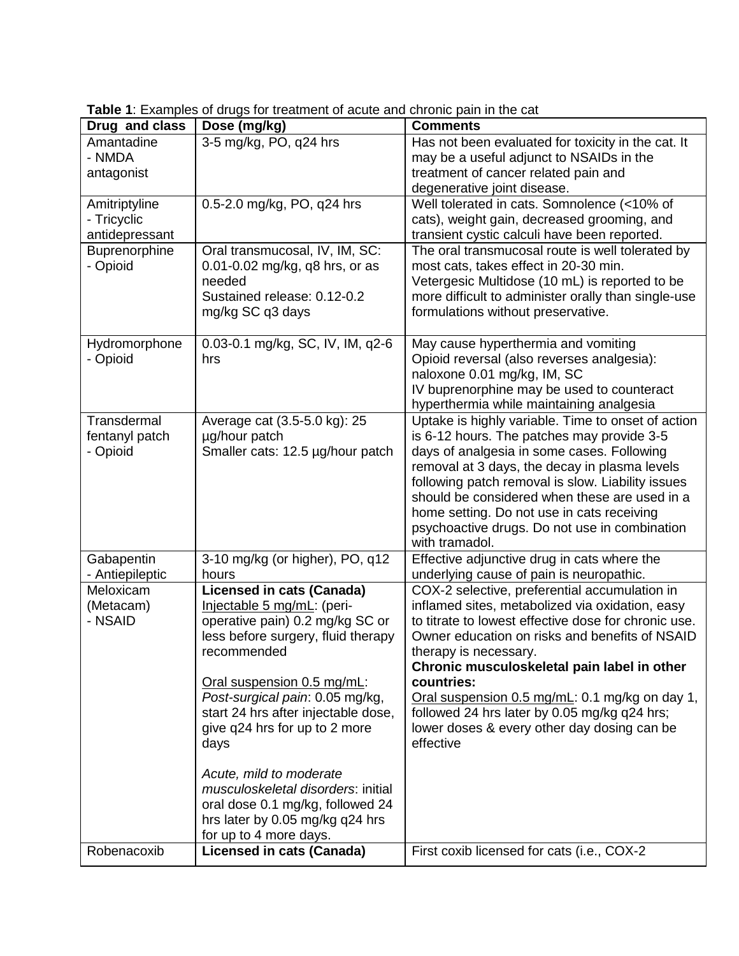| Drug and class                                 | r is Examples of anago for thoatmore of abato and omomo pain in the cat<br>Dose (mg/kg)                                                                                                                                                                                                                                                                                                                                                         | <b>Comments</b>                                                                                                                                                                                                                                                                                                                                                                                                                                                |
|------------------------------------------------|-------------------------------------------------------------------------------------------------------------------------------------------------------------------------------------------------------------------------------------------------------------------------------------------------------------------------------------------------------------------------------------------------------------------------------------------------|----------------------------------------------------------------------------------------------------------------------------------------------------------------------------------------------------------------------------------------------------------------------------------------------------------------------------------------------------------------------------------------------------------------------------------------------------------------|
| Amantadine<br>- NMDA<br>antagonist             | 3-5 mg/kg, PO, q24 hrs                                                                                                                                                                                                                                                                                                                                                                                                                          | Has not been evaluated for toxicity in the cat. It<br>may be a useful adjunct to NSAIDs in the<br>treatment of cancer related pain and                                                                                                                                                                                                                                                                                                                         |
| Amitriptyline<br>- Tricyclic<br>antidepressant | 0.5-2.0 mg/kg, PO, q24 hrs                                                                                                                                                                                                                                                                                                                                                                                                                      | degenerative joint disease.<br>Well tolerated in cats. Somnolence (<10% of<br>cats), weight gain, decreased grooming, and<br>transient cystic calculi have been reported.                                                                                                                                                                                                                                                                                      |
| Buprenorphine<br>- Opioid                      | Oral transmucosal, IV, IM, SC:<br>0.01-0.02 mg/kg, q8 hrs, or as<br>needed<br>Sustained release: 0.12-0.2<br>mg/kg SC q3 days                                                                                                                                                                                                                                                                                                                   | The oral transmucosal route is well tolerated by<br>most cats, takes effect in 20-30 min.<br>Vetergesic Multidose (10 mL) is reported to be<br>more difficult to administer orally than single-use<br>formulations without preservative.                                                                                                                                                                                                                       |
| Hydromorphone<br>- Opioid                      | 0.03-0.1 mg/kg, SC, IV, IM, q2-6<br>hrs                                                                                                                                                                                                                                                                                                                                                                                                         | May cause hyperthermia and vomiting<br>Opioid reversal (also reverses analgesia):<br>naloxone 0.01 mg/kg, IM, SC<br>IV buprenorphine may be used to counteract<br>hyperthermia while maintaining analgesia                                                                                                                                                                                                                                                     |
| Transdermal<br>fentanyl patch<br>- Opioid      | Average cat (3.5-5.0 kg): 25<br>µg/hour patch<br>Smaller cats: 12.5 µg/hour patch                                                                                                                                                                                                                                                                                                                                                               | Uptake is highly variable. Time to onset of action<br>is 6-12 hours. The patches may provide 3-5<br>days of analgesia in some cases. Following<br>removal at 3 days, the decay in plasma levels<br>following patch removal is slow. Liability issues<br>should be considered when these are used in a<br>home setting. Do not use in cats receiving<br>psychoactive drugs. Do not use in combination<br>with tramadol.                                         |
| Gabapentin<br>- Antiepileptic                  | 3-10 mg/kg (or higher), PO, q12<br>hours                                                                                                                                                                                                                                                                                                                                                                                                        | Effective adjunctive drug in cats where the<br>underlying cause of pain is neuropathic.                                                                                                                                                                                                                                                                                                                                                                        |
| Meloxicam<br>(Metacam)<br>- NSAID              | <b>Licensed in cats (Canada)</b><br>Injectable 5 mg/mL: (peri-<br>operative pain) 0.2 mg/kg SC or<br>less before surgery, fluid therapy<br>recommended<br>Oral suspension 0.5 mg/mL:<br>Post-surgical pain: 0.05 mg/kg,<br>start 24 hrs after injectable dose,<br>give q24 hrs for up to 2 more<br>days<br>Acute, mild to moderate<br>musculoskeletal disorders: initial<br>oral dose 0.1 mg/kg, followed 24<br>hrs later by 0.05 mg/kg q24 hrs | COX-2 selective, preferential accumulation in<br>inflamed sites, metabolized via oxidation, easy<br>to titrate to lowest effective dose for chronic use.<br>Owner education on risks and benefits of NSAID<br>therapy is necessary.<br>Chronic musculoskeletal pain label in other<br>countries:<br>Oral suspension 0.5 mg/mL: 0.1 mg/kg on day 1,<br>followed 24 hrs later by 0.05 mg/kg q24 hrs;<br>lower doses & every other day dosing can be<br>effective |
| Robenacoxib                                    | for up to 4 more days.<br><b>Licensed in cats (Canada)</b>                                                                                                                                                                                                                                                                                                                                                                                      | First coxib licensed for cats (i.e., COX-2                                                                                                                                                                                                                                                                                                                                                                                                                     |

**Table 1**: Examples of drugs for treatment of acute and chronic pain in the cat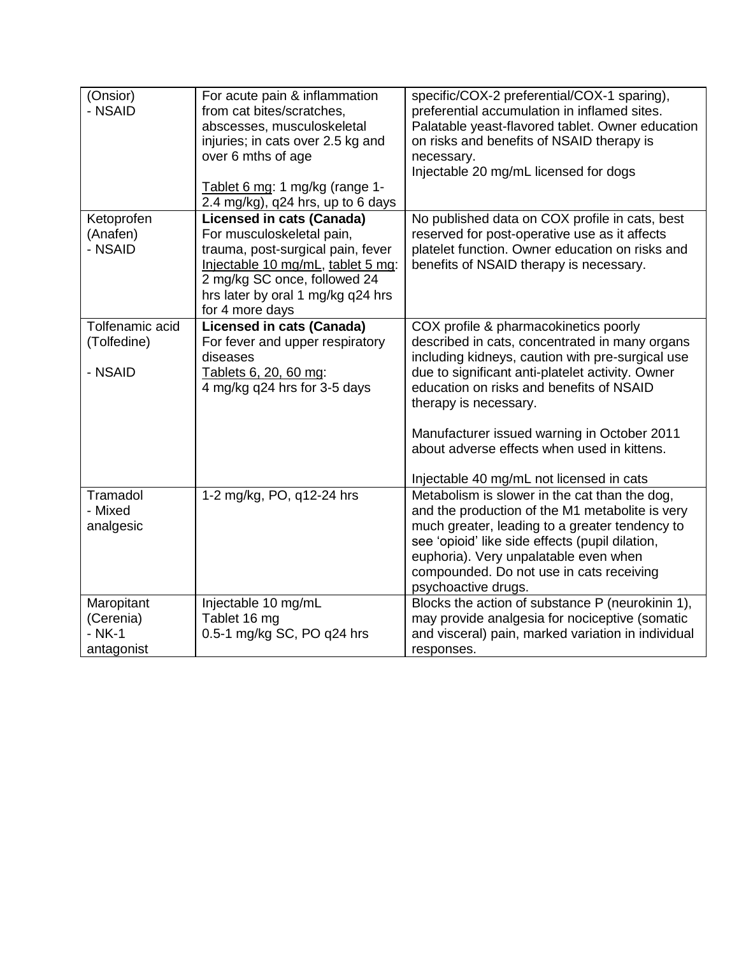| (Onsior)<br>- NSAID                                  | For acute pain & inflammation<br>from cat bites/scratches,<br>abscesses, musculoskeletal<br>injuries; in cats over 2.5 kg and<br>over 6 mths of age<br>Tablet 6 mg: 1 mg/kg (range 1- | specific/COX-2 preferential/COX-1 sparing),<br>preferential accumulation in inflamed sites.<br>Palatable yeast-flavored tablet. Owner education<br>on risks and benefits of NSAID therapy is<br>necessary.<br>Injectable 20 mg/mL licensed for dogs                                                                 |
|------------------------------------------------------|---------------------------------------------------------------------------------------------------------------------------------------------------------------------------------------|---------------------------------------------------------------------------------------------------------------------------------------------------------------------------------------------------------------------------------------------------------------------------------------------------------------------|
| Ketoprofen<br>(Anafen)<br>- NSAID                    | 2.4 mg/kg), q24 hrs, up to 6 days<br><b>Licensed in cats (Canada)</b><br>For musculoskeletal pain,<br>trauma, post-surgical pain, fever<br>Injectable 10 mg/mL, tablet 5 mg:          | No published data on COX profile in cats, best<br>reserved for post-operative use as it affects<br>platelet function. Owner education on risks and<br>benefits of NSAID therapy is necessary.                                                                                                                       |
|                                                      | 2 mg/kg SC once, followed 24<br>hrs later by oral 1 mg/kg q24 hrs<br>for 4 more days                                                                                                  |                                                                                                                                                                                                                                                                                                                     |
| Tolfenamic acid<br>(Tolfedine)<br>- NSAID            | <b>Licensed in cats (Canada)</b><br>For fever and upper respiratory<br>diseases<br>Tablets 6, 20, 60 mg:<br>4 mg/kg q24 hrs for 3-5 days                                              | COX profile & pharmacokinetics poorly<br>described in cats, concentrated in many organs<br>including kidneys, caution with pre-surgical use<br>due to significant anti-platelet activity. Owner<br>education on risks and benefits of NSAID<br>therapy is necessary.<br>Manufacturer issued warning in October 2011 |
|                                                      |                                                                                                                                                                                       | about adverse effects when used in kittens.<br>Injectable 40 mg/mL not licensed in cats                                                                                                                                                                                                                             |
| Tramadol<br>- Mixed<br>analgesic                     | 1-2 mg/kg, PO, q12-24 hrs                                                                                                                                                             | Metabolism is slower in the cat than the dog,<br>and the production of the M1 metabolite is very<br>much greater, leading to a greater tendency to<br>see 'opioid' like side effects (pupil dilation,<br>euphoria). Very unpalatable even when<br>compounded. Do not use in cats receiving<br>psychoactive drugs.   |
| Maropitant<br>(Cerenia)<br>$-$ NK $-1$<br>antagonist | Injectable 10 mg/mL<br>Tablet 16 mg<br>0.5-1 mg/kg SC, PO q24 hrs                                                                                                                     | Blocks the action of substance P (neurokinin 1),<br>may provide analgesia for nociceptive (somatic<br>and visceral) pain, marked variation in individual<br>responses.                                                                                                                                              |